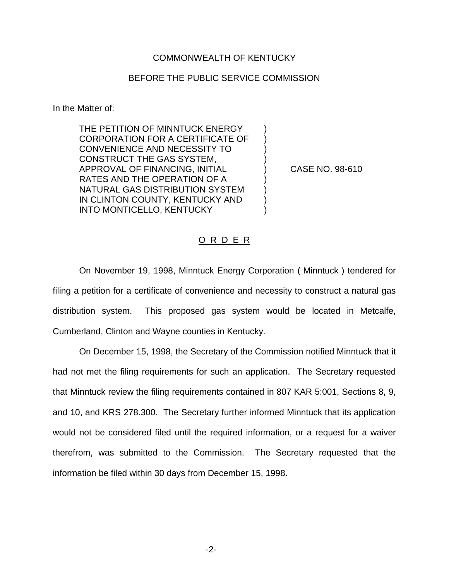## COMMONWEALTH OF KENTUCKY

## BEFORE THE PUBLIC SERVICE COMMISSION

In the Matter of:

THE PETITION OF MINNTUCK ENERGY CORPORATION FOR A CERTIFICATE OF CONVENIENCE AND NECESSITY TO ) CONSTRUCT THE GAS SYSTEM, ) APPROVAL OF FINANCING, INITIAL ) CASE NO. 98-610 RATES AND THE OPERATION OF A ) NATURAL GAS DISTRIBUTION SYSTEM ) IN CLINTON COUNTY, KENTUCKY AND INTO MONTICELLO, KENTUCKY

## O R D E R

On November 19, 1998, Minntuck Energy Corporation ( Minntuck ) tendered for filing a petition for a certificate of convenience and necessity to construct a natural gas distribution system. This proposed gas system would be located in Metcalfe, Cumberland, Clinton and Wayne counties in Kentucky.

On December 15, 1998, the Secretary of the Commission notified Minntuck that it had not met the filing requirements for such an application. The Secretary requested that Minntuck review the filing requirements contained in 807 KAR 5:001, Sections 8, 9, and 10, and KRS 278.300. The Secretary further informed Minntuck that its application would not be considered filed until the required information, or a request for a waiver therefrom, was submitted to the Commission. The Secretary requested that the information be filed within 30 days from December 15, 1998.

-2-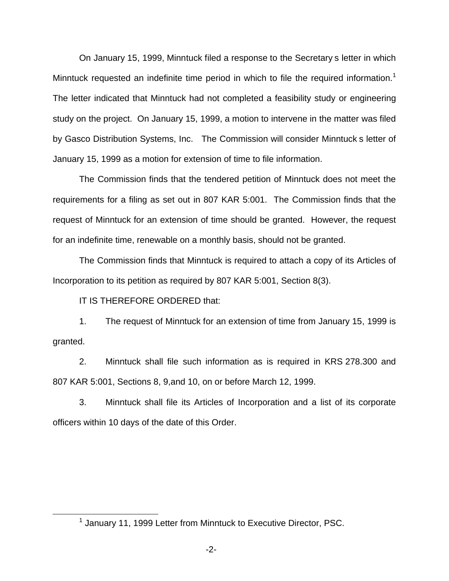On January 15, 1999, Minntuck filed a response to the Secretary s letter in which Minntuck requested an indefinite time period in which to file the required information.<sup>1</sup> The letter indicated that Minntuck had not completed a feasibility study or engineering study on the project. On January 15, 1999, a motion to intervene in the matter was filed by Gasco Distribution Systems, Inc. The Commission will consider Minntuck s letter of January 15, 1999 as a motion for extension of time to file information.

The Commission finds that the tendered petition of Minntuck does not meet the requirements for a filing as set out in 807 KAR 5:001. The Commission finds that the request of Minntuck for an extension of time should be granted. However, the request for an indefinite time, renewable on a monthly basis, should not be granted.

The Commission finds that Minntuck is required to attach a copy of its Articles of Incorporation to its petition as required by 807 KAR 5:001, Section 8(3).

IT IS THEREFORE ORDERED that:

1. The request of Minntuck for an extension of time from January 15, 1999 is granted.

2. Minntuck shall file such information as is required in KRS 278.300 and 807 KAR 5:001, Sections 8, 9,and 10, on or before March 12, 1999.

3. Minntuck shall file its Articles of Incorporation and a list of its corporate officers within 10 days of the date of this Order.

 $<sup>1</sup>$  January 11, 1999 Letter from Minntuck to Executive Director, PSC.</sup>